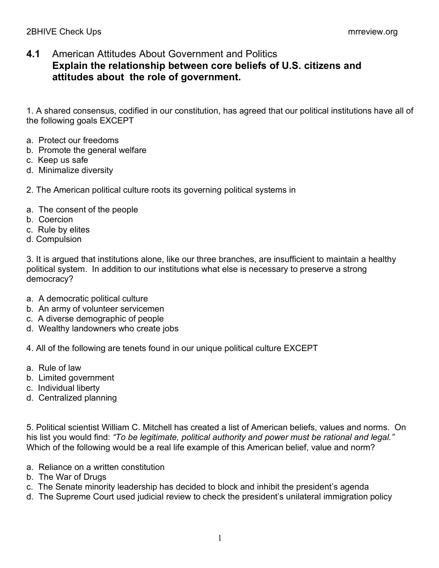## **4.1** American Attitudes About Government and Politics **Explain the relationship between core beliefs of U.S. citizens and attitudes about the role of government.**

1. A shared consensus, codified in our constitution, has agreed that our political institutions have all of the following goals EXCEPT

- a. Protect our freedoms
- b. Promote the general welfare
- c. Keep us safe
- d. Minimalize diversity
- 2. The American political culture roots its governing political systems in
- a. The consent of the people
- b. Coercion
- c. Rule by elites
- d. Compulsion

3. It is argued that institutions alone, like our three branches, are insufficient to maintain a healthy political system. In addition to our institutions what else is necessary to preserve a strong democracy?

- a. A democratic political culture
- b. An army of volunteer servicemen
- c. A diverse demographic of people
- d. Wealthy landowners who create jobs

4. All of the following are tenets found in our unique political culture EXCEPT

- a. Rule of law
- b. Limited government
- c. Individual liberty
- d. Centralized planning

5. Political scientist William C. Mitchell has created a list of American beliefs, values and norms. On his list you would find: *"To be legitimate, political authority and power must be rational and legal."* Which of the following would be a real life example of this American belief, value and norm?

- a. Reliance on a written constitution
- b. The War of Drugs
- c. The Senate minority leadership has decided to block and inhibit the president's agenda
- d. The Supreme Court used judicial review to check the president's unilateral immigration policy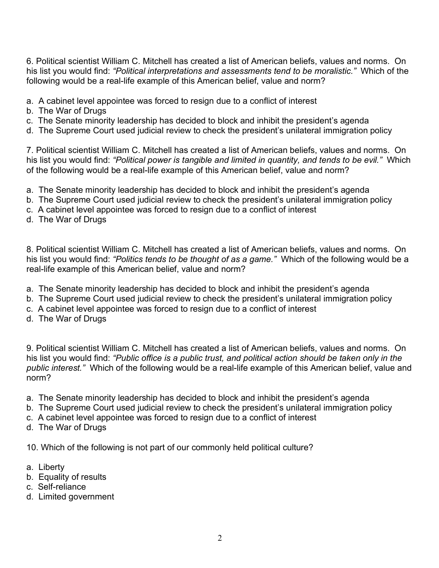6. Political scientist William C. Mitchell has created a list of American beliefs, values and norms. On his list you would find: *"Political interpretations and assessments tend to be moralistic."* Which of the following would be a real-life example of this American belief, value and norm?

- a. A cabinet level appointee was forced to resign due to a conflict of interest
- b. The War of Drugs
- c. The Senate minority leadership has decided to block and inhibit the president's agenda
- d. The Supreme Court used judicial review to check the president's unilateral immigration policy

7. Political scientist William C. Mitchell has created a list of American beliefs, values and norms. On his list you would find: *"Political power is tangible and limited in quantity, and tends to be evil."* Which of the following would be a real-life example of this American belief, value and norm?

- a. The Senate minority leadership has decided to block and inhibit the president's agenda
- b. The Supreme Court used judicial review to check the president's unilateral immigration policy
- c. A cabinet level appointee was forced to resign due to a conflict of interest
- d. The War of Drugs

8. Political scientist William C. Mitchell has created a list of American beliefs, values and norms. On his list you would find: *"Politics tends to be thought of as a game."* Which of the following would be a real-life example of this American belief, value and norm?

- a. The Senate minority leadership has decided to block and inhibit the president's agenda
- b. The Supreme Court used judicial review to check the president's unilateral immigration policy
- c. A cabinet level appointee was forced to resign due to a conflict of interest
- d. The War of Drugs

9. Political scientist William C. Mitchell has created a list of American beliefs, values and norms. On his list you would find: *"Public office is a public trust, and political action should be taken only in the public interest."* Which of the following would be a real-life example of this American belief, value and norm?

- a. The Senate minority leadership has decided to block and inhibit the president's agenda
- b. The Supreme Court used judicial review to check the president's unilateral immigration policy
- c. A cabinet level appointee was forced to resign due to a conflict of interest
- d. The War of Drugs

10. Which of the following is not part of our commonly held political culture?

- a. Liberty
- b. Equality of results
- c. Self-reliance
- d. Limited government